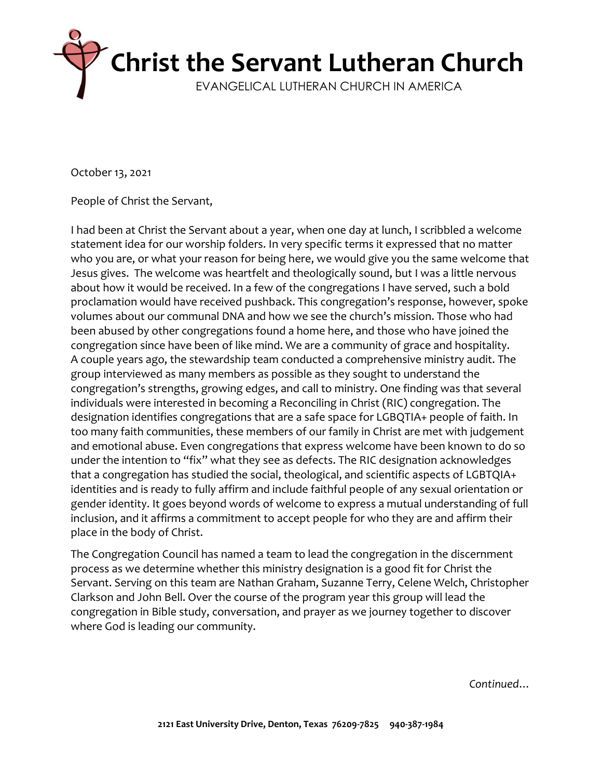

October 13, 2021

People of Christ the Servant,

I had been at Christ the Servant about a year, when one day at lunch, I scribbled a welcome statement idea for our worship folders. In very specific terms it expressed that no matter who you are, or what your reason for being here, we would give you the same welcome that Jesus gives. The welcome was heartfelt and theologically sound, but I was a little nervous about how it would be received. In a few of the congregations I have served, such a bold proclamation would have received pushback. This congregation's response, however, spoke volumes about our communal DNA and how we see the church's mission. Those who had been abused by other congregations found a home here, and those who have joined the congregation since have been of like mind. We are a community of grace and hospitality. A couple years ago, the stewardship team conducted a comprehensive ministry audit. The group interviewed as many members as possible as they sought to understand the congregation's strengths, growing edges, and call to ministry. One finding was that several individuals were interested in becoming a Reconciling in Christ (RIC) congregation. The designation identifies congregations that are a safe space for LGBQTIA+ people of faith. In too many faith communities, these members of our family in Christ are met with judgement and emotional abuse. Even congregations that express welcome have been known to do so under the intention to "fix" what they see as defects. The RIC designation acknowledges that a congregation has studied the social, theological, and scientific aspects of LGBTQIA+ identities and is ready to fully affirm and include faithful people of any sexual orientation or gender identity. It goes beyond words of welcome to express a mutual understanding of full inclusion, and it affirms a commitment to accept people for who they are and affirm their place in the body of Christ.

The Congregation Council has named a team to lead the congregation in the discernment process as we determine whether this ministry designation is a good fit for Christ the Servant. Serving on this team are Nathan Graham, Suzanne Terry, Celene Welch, Christopher Clarkson and John Bell. Over the course of the program year this group will lead the congregation in Bible study, conversation, and prayer as we journey together to discover where God is leading our community.

*Continued…*